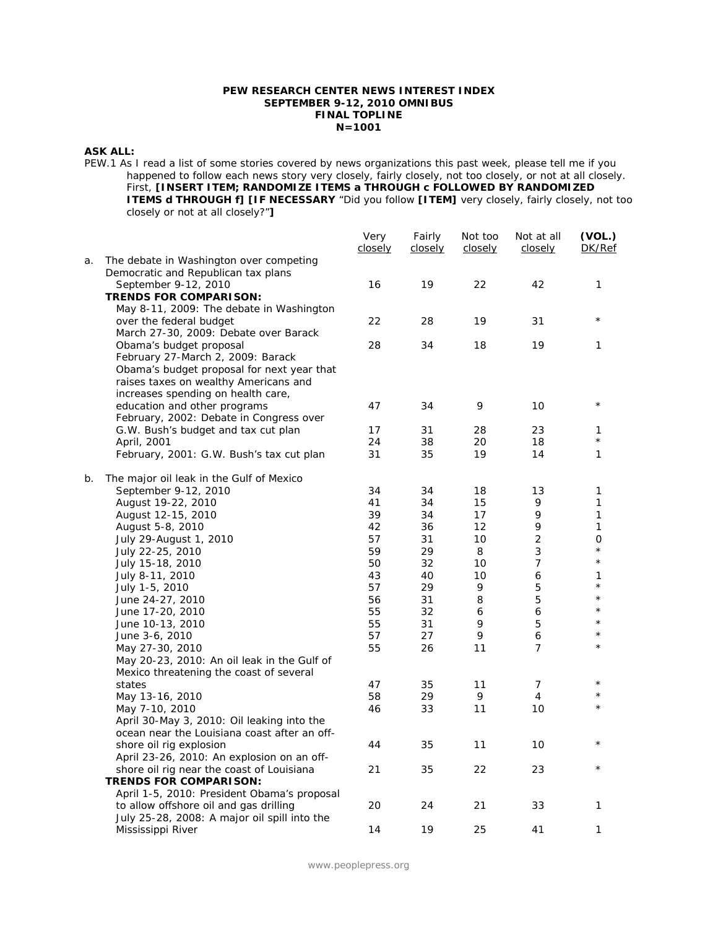### **PEW RESEARCH CENTER NEWS INTEREST INDEX SEPTEMBER 9-12, 2010 OMNIBUS FINAL TOPLINE N=1001**

### **ASK ALL:**

PEW.1 As I read a list of some stories covered by news organizations this past week, please tell me if you happened to follow each news story very closely, fairly closely, not too closely, or not at all closely. First, **[INSERT ITEM; RANDOMIZE ITEMS a THROUGH c FOLLOWED BY RANDOMIZED ITEMS d THROUGH f] [IF NECESSARY** "Did you follow **[ITEM]** very closely, fairly closely, not too closely or not at all closely?"**]**

|    |                                                                                                                                                                                              | Very<br>closely | Fairly<br>closely | Not too<br>closely | Not at all<br>closely | (VOL.)<br>DK/Ref |
|----|----------------------------------------------------------------------------------------------------------------------------------------------------------------------------------------------|-----------------|-------------------|--------------------|-----------------------|------------------|
| a. | The debate in Washington over competing<br>Democratic and Republican tax plans                                                                                                               |                 |                   |                    |                       |                  |
|    | September 9-12, 2010<br><b>TRENDS FOR COMPARISON:</b>                                                                                                                                        | 16              | 19                | 22                 | 42                    | 1                |
|    | May 8-11, 2009: The debate in Washington<br>over the federal budget                                                                                                                          | 22              | 28                | 19                 | 31                    | $\star$          |
|    | March 27-30, 2009: Debate over Barack<br>Obama's budget proposal<br>February 27-March 2, 2009: Barack<br>Obama's budget proposal for next year that<br>raises taxes on wealthy Americans and | 28              | 34                | 18                 | 19                    | 1                |
|    | increases spending on health care,<br>education and other programs<br>February, 2002: Debate in Congress over                                                                                | 47              | 34                | 9                  | 10                    | $\star$          |
|    | G.W. Bush's budget and tax cut plan                                                                                                                                                          | 17              | 31                | 28                 | 23                    | 1                |
|    | April, 2001                                                                                                                                                                                  | 24              | 38                | 20                 | 18                    | $\star$          |
|    | February, 2001: G.W. Bush's tax cut plan                                                                                                                                                     | 31              | 35                | 19                 | 14                    | 1                |
| b. | The major oil leak in the Gulf of Mexico                                                                                                                                                     |                 |                   |                    |                       |                  |
|    | September 9-12, 2010                                                                                                                                                                         | 34              | 34                | 18                 | 13                    | $\mathbf{1}$     |
|    | August 19-22, 2010                                                                                                                                                                           | 41              | 34                | 15                 | 9                     | 1                |
|    | August 12-15, 2010                                                                                                                                                                           | 39              | 34                | 17                 | 9                     | $\mathbf{1}$     |
|    | August 5-8, 2010                                                                                                                                                                             | 42              | 36                | 12                 | 9                     | 1                |
|    | July 29-August 1, 2010                                                                                                                                                                       | 57              | 31                | 10                 | $\overline{2}$        | 0                |
|    | July 22-25, 2010                                                                                                                                                                             | 59              | 29                | 8                  | 3                     | $\star$          |
|    | July 15-18, 2010                                                                                                                                                                             | 50              | 32                | 10                 | 7                     | $\star$          |
|    | July 8-11, 2010                                                                                                                                                                              | 43              | 40                | 10                 | 6                     | 1<br>$\star$     |
|    | July 1-5, 2010                                                                                                                                                                               | 57              | 29                | 9                  | 5                     | $\star$          |
|    | June 24-27, 2010                                                                                                                                                                             | 56              | 31                | 8                  | 5                     | $\star$          |
|    | June 17-20, 2010                                                                                                                                                                             | 55              | 32                | 6                  | 6                     | $\star$          |
|    | June 10-13, 2010                                                                                                                                                                             | 55              | 31                | 9                  | 5                     | $^{\star}$       |
|    | June 3-6, 2010                                                                                                                                                                               | 57              | 27                | 9                  | 6                     | $\star$          |
|    | May 27-30, 2010<br>May 20-23, 2010: An oil leak in the Gulf of<br>Mexico threatening the coast of several                                                                                    | 55              | 26                | 11                 | 7                     |                  |
|    | states                                                                                                                                                                                       | 47              | 35                | 11                 | $\overline{7}$        | $\star$          |
|    | May 13-16, 2010                                                                                                                                                                              | 58              | 29                | 9                  | $\overline{4}$        |                  |
|    | May 7-10, 2010<br>April 30-May 3, 2010: Oil leaking into the<br>ocean near the Louisiana coast after an off-                                                                                 | 46              | 33                | 11                 | 10                    |                  |
|    | shore oil rig explosion<br>April 23-26, 2010: An explosion on an off-                                                                                                                        | 44              | 35                | 11                 | 10                    | $\star$          |
|    | shore oil rig near the coast of Louisiana<br><b>TRENDS FOR COMPARISON:</b>                                                                                                                   | 21              | 35                | 22                 | 23                    | $\star$          |
|    | April 1-5, 2010: President Obama's proposal<br>to allow offshore oil and gas drilling                                                                                                        | 20              | 24                | 21                 | 33                    | 1                |
|    | July 25-28, 2008: A major oil spill into the<br>Mississippi River                                                                                                                            | 14              | 19                | 25                 | 41                    | 1                |

www.peoplepress.org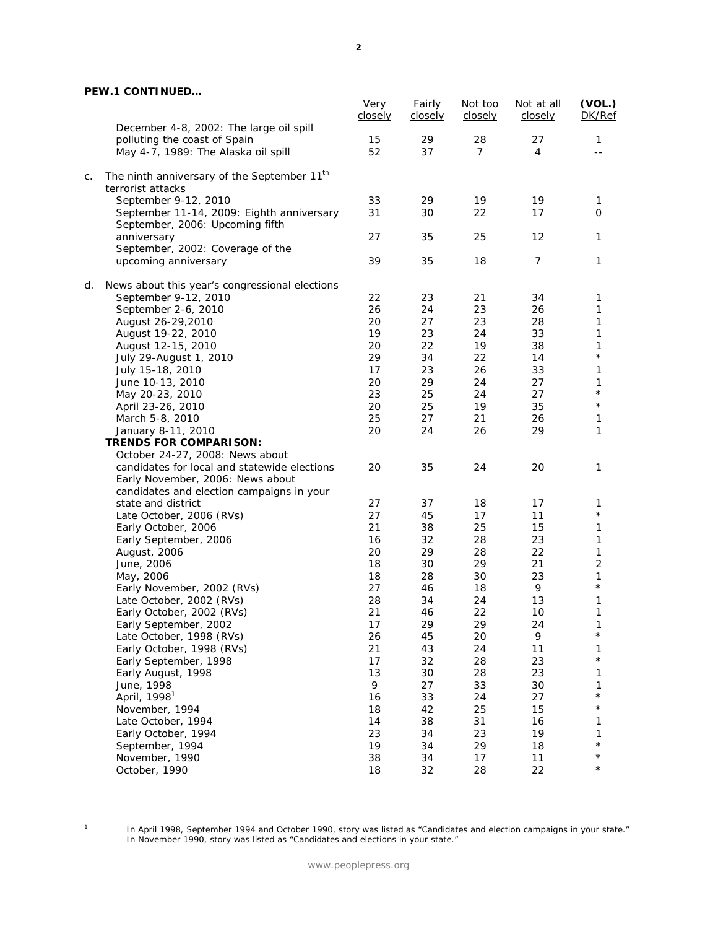# **PEW.1 CONTINUED…**

|    |                                                                              | Very<br>closely | Fairly<br>closely | Not too<br>closely | Not at all<br>closely | (VOL.)<br>DK/Ref |
|----|------------------------------------------------------------------------------|-----------------|-------------------|--------------------|-----------------------|------------------|
|    | December 4-8, 2002: The large oil spill                                      |                 |                   |                    |                       |                  |
|    | polluting the coast of Spain                                                 | 15              | 29                | 28                 | 27                    | 1                |
|    | May 4-7, 1989: The Alaska oil spill                                          | 52              | 37                | $\overline{7}$     | 4                     |                  |
| C. | The ninth anniversary of the September 11 <sup>th</sup>                      |                 |                   |                    |                       |                  |
|    | terrorist attacks                                                            |                 |                   |                    |                       |                  |
|    | September 9-12, 2010                                                         | 33              | 29                | 19                 | 19                    | $\mathbf{1}$     |
|    | September 11-14, 2009: Eighth anniversary<br>September, 2006: Upcoming fifth | 31              | 30                | 22                 | 17                    | 0                |
|    | anniversary                                                                  | 27              | 35                | 25                 | 12                    | 1                |
|    | September, 2002: Coverage of the                                             |                 |                   |                    |                       |                  |
|    | upcoming anniversary                                                         | 39              | 35                | 18                 | 7                     | 1                |
| d. | News about this year's congressional elections                               |                 |                   |                    |                       |                  |
|    | September 9-12, 2010                                                         | 22              | 23                | 21                 | 34                    | 1                |
|    | September 2-6, 2010                                                          | 26              | 24                | 23                 | 26                    | 1                |
|    | August 26-29, 2010                                                           | 20              | 27                | 23                 | 28                    | 1                |
|    | August 19-22, 2010                                                           | 19              | 23                | 24                 | 33                    | 1                |
|    | August 12-15, 2010                                                           | 20              | 22                | 19                 | 38                    | 1                |
|    | July 29-August 1, 2010                                                       | 29              | 34                | 22                 | 14                    | $^\star$         |
|    | July 15-18, 2010                                                             | 17              | 23                | 26                 | 33                    | 1                |
|    | June 10-13, 2010                                                             | 20              | 29                | 24                 | 27                    | 1                |
|    | May 20-23, 2010                                                              | 23              | 25                | 24                 | 27                    | $^\star$         |
|    | April 23-26, 2010                                                            | 20              | 25                | 19                 | 35                    | $^{\star}$       |
|    | March 5-8, 2010                                                              | 25              | 27                | 21                 | 26                    | 1                |
|    | January 8-11, 2010                                                           | 20              | 24                | 26                 | 29                    | 1                |
|    | <b>TRENDS FOR COMPARISON:</b>                                                |                 |                   |                    |                       |                  |
|    | October 24-27, 2008: News about                                              |                 |                   |                    |                       |                  |
|    | candidates for local and statewide elections                                 | 20              | 35                | 24                 | 20                    | 1                |
|    | Early November, 2006: News about                                             |                 |                   |                    |                       |                  |
|    | candidates and election campaigns in your                                    |                 |                   |                    |                       |                  |
|    | state and district                                                           | 27              | 37                | 18                 | 17                    | 1<br>$^{\star}$  |
|    | Late October, 2006 (RVs)                                                     | 27              | 45                | 17                 | 11                    |                  |
|    | Early October, 2006                                                          | 21              | 38                | 25                 | 15                    | 1                |
|    | Early September, 2006                                                        | 16              | 32                | 28                 | 23                    | 1                |
|    | August, 2006                                                                 | 20              | 29                | 28                 | 22                    | 1                |
|    | June, 2006                                                                   | 18              | 30                | 29                 | 21                    | 2                |
|    | May, 2006                                                                    | 18              | 28                | 30                 | 23                    | 1<br>$^{\star}$  |
|    | Early November, 2002 (RVs)                                                   | 27              | 46                | 18                 | 9                     |                  |
|    | Late October, 2002 (RVs)                                                     | 28              | 34                | 24                 | 13                    | 1                |
|    | Early October, 2002 (RVs)                                                    | 21              | 46                | 22                 | 10                    | 1                |
|    | Early September, 2002                                                        | 17              | 29                | 29                 | 24                    | 1<br>$^{\star}$  |
|    | Late October, 1998 (RVs)                                                     | 26              | 45                | 20                 | 9                     |                  |
|    | Early October, 1998 (RVs)                                                    | 21              | 43                | 24                 | 11                    | 1<br>$\star$     |
|    | Early September, 1998                                                        | 17              | 32                | 28                 | 23                    |                  |
|    | Early August, 1998                                                           | 13              | 30                | 28                 | 23                    | 1                |
|    | June, 1998                                                                   | 9               | 27                | 33                 | 30                    | 1<br>$^{\star}$  |
|    | April, 1998 <sup>1</sup>                                                     | 16              | 33                | 24                 | 27                    | $^\star$         |
|    | November, 1994                                                               | 18              | 42                | 25                 | 15                    |                  |
|    | Late October, 1994                                                           | 14              | 38                | 31                 | 16                    | 1                |
|    | Early October, 1994                                                          | 23              | 34                | 23                 | 19                    | 1                |
|    | September, 1994                                                              | 19              | 34                | 29                 | 18                    | $^{\star}$       |
|    | November, 1990                                                               | 38              | 34                | 17                 | 11                    | $^\star$         |
|    | October, 1990                                                                | 18              | 32                | 28                 | 22                    | $^\star$         |

 $\frac{1}{1}$ 

In April 1998, September 1994 and October 1990, story was listed as "Candidates and election campaigns in your state." In November 1990, story was listed as "Candidates and elections in your state."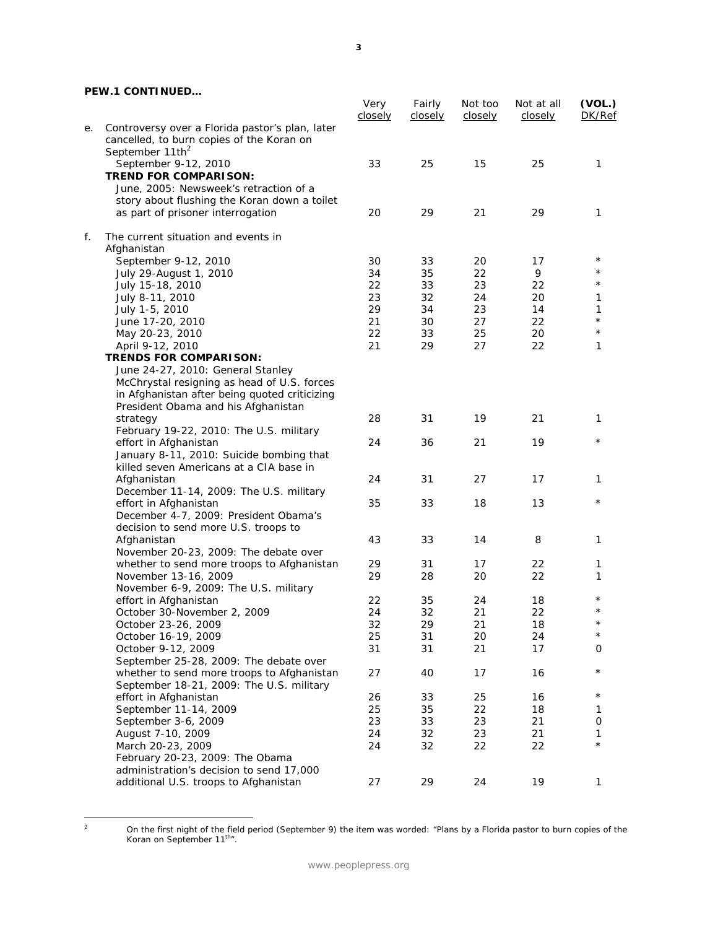# **PEW.1 CONTINUED…**

|    |                                                 | Very<br>closely | Fairly<br>closely | Not too<br>closely | Not at all<br>closely | (VOL.)<br>DK/Ref |
|----|-------------------------------------------------|-----------------|-------------------|--------------------|-----------------------|------------------|
| е. | Controversy over a Florida pastor's plan, later |                 |                   |                    |                       |                  |
|    | cancelled, to burn copies of the Koran on       |                 |                   |                    |                       |                  |
|    | September 11th <sup>2</sup>                     |                 |                   |                    |                       |                  |
|    | September 9-12, 2010                            | 33              | 25                | 15                 | 25                    | 1                |
|    | <b>TREND FOR COMPARISON:</b>                    |                 |                   |                    |                       |                  |
|    | June, 2005: Newsweek's retraction of a          |                 |                   |                    |                       |                  |
|    | story about flushing the Koran down a toilet    |                 |                   |                    |                       |                  |
|    | as part of prisoner interrogation               | 20              | 29                | 21                 | 29                    | 1                |
| f. | The current situation and events in             |                 |                   |                    |                       |                  |
|    | Afghanistan                                     |                 |                   |                    |                       |                  |
|    | September 9-12, 2010                            | 30              | 33                | 20                 | 17                    | $^\star$         |
|    | July 29-August 1, 2010                          | 34              | 35                | 22                 | 9                     |                  |
|    | July 15-18, 2010                                | 22              | 33                | 23                 | 22                    |                  |
|    | July 8-11, 2010                                 | 23              | 32                | 24                 | 20                    | 1                |
|    | July 1-5, 2010                                  | 29              | 34                | 23                 | 14                    | 1                |
|    | June 17-20, 2010                                | 21              | 30                | 27                 | 22                    | $\star$          |
|    | May 20-23, 2010                                 | 22              | 33                | 25                 | 20                    | $\star$          |
|    | April 9-12, 2010                                | 21              | 29                | 27                 | 22                    | 1                |
|    | <b>TRENDS FOR COMPARISON:</b>                   |                 |                   |                    |                       |                  |
|    | June 24-27, 2010: General Stanley               |                 |                   |                    |                       |                  |
|    | McChrystal resigning as head of U.S. forces     |                 |                   |                    |                       |                  |
|    | in Afghanistan after being quoted criticizing   |                 |                   |                    |                       |                  |
|    | President Obama and his Afghanistan             |                 |                   |                    |                       |                  |
|    | strategy                                        | 28              | 31                | 19                 | 21                    | 1                |
|    | February 19-22, 2010: The U.S. military         |                 |                   |                    |                       |                  |
|    | effort in Afghanistan                           | 24              | 36                | 21                 | 19                    | $^\star$         |
|    | January 8-11, 2010: Suicide bombing that        |                 |                   |                    |                       |                  |
|    | killed seven Americans at a CIA base in         |                 |                   |                    |                       |                  |
|    | Afghanistan                                     | 24              | 31                | 27                 | 17                    | 1                |
|    | December 11-14, 2009: The U.S. military         |                 |                   |                    |                       |                  |
|    | effort in Afghanistan                           | 35              | 33                | 18                 | 13                    | $^\star$         |
|    | December 4-7, 2009: President Obama's           |                 |                   |                    |                       |                  |
|    | decision to send more U.S. troops to            |                 |                   |                    |                       |                  |
|    | Afghanistan                                     | 43              | 33                | 14                 | 8                     | 1                |
|    | November 20-23, 2009: The debate over           |                 |                   |                    |                       |                  |
|    | whether to send more troops to Afghanistan      | 29              | 31                | 17                 | 22                    | 1                |
|    | November 13-16, 2009                            | 29              | 28                | 20                 | 22                    | 1                |
|    | November 6-9, 2009: The U.S. military           |                 |                   |                    |                       |                  |
|    | effort in Afghanistan                           | 22              | 35                | 24                 | 18                    | $^\star$         |
|    | October 30-November 2, 2009                     | 24              | 32                | 21                 | 22                    | $^\star$         |
|    | October 23-26, 2009                             | 32              | 29                | 21                 | 18                    | $^\star$         |
|    | October 16-19, 2009                             | 25              | 31                | 20                 | 24                    | $\star$          |
|    | October 9-12, 2009                              | 31              | 31                | 21                 | 17                    | 0                |
|    | September 25-28, 2009: The debate over          |                 |                   |                    |                       |                  |
|    | whether to send more troops to Afghanistan      | 27              | 40                | 17                 | 16                    | $^\star$         |
|    | September 18-21, 2009: The U.S. military        |                 |                   |                    |                       |                  |
|    | effort in Afghanistan                           | 26              | 33                | 25                 | 16                    | $^\star$         |
|    | September 11-14, 2009                           | 25              | 35                | 22                 | 18                    | 1                |
|    | September 3-6, 2009                             | 23              | 33                | 23                 | 21                    | 0                |
|    | August 7-10, 2009                               | 24              | 32                | 23                 | 21                    | 1                |
|    | March 20-23, 2009                               | 24              | 32                | 22                 | 22                    |                  |
|    | February 20-23, 2009: The Obama                 |                 |                   |                    |                       |                  |
|    | administration's decision to send 17,000        |                 |                   |                    |                       |                  |
|    | additional U.S. troops to Afghanistan           | 27              | 29                | 24                 | 19                    | 1                |
|    |                                                 |                 |                   |                    |                       |                  |

 $\overline{a}$ 

On the first night of the field period (September 9) the item was worded: "Plans by a Florida pastor to burn copies of the<br>Koran on September 11<sup>th</sup>".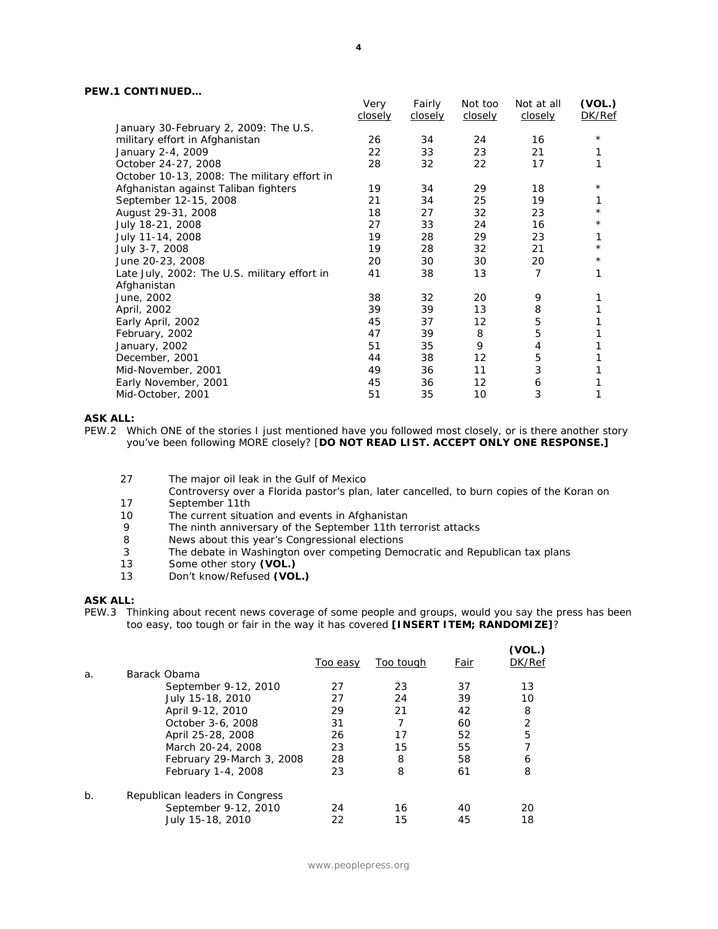# **PEW.1 CONTINUED…**

|                                              | Very<br>closely | Fairly<br>closely | Not too<br>closely | Not at all<br>closely | (VOL.)<br>DK/Ref |
|----------------------------------------------|-----------------|-------------------|--------------------|-----------------------|------------------|
| January 30-February 2, 2009: The U.S.        |                 |                   |                    |                       |                  |
| military effort in Afghanistan               | 26              | 34                | 24                 | 16                    | $^\star$         |
| January 2-4, 2009                            | 22              | 33                | 23                 | 21                    | 1                |
| October 24-27, 2008                          | 28              | 32                | 22                 | 17                    |                  |
| October 10-13, 2008: The military effort in  |                 |                   |                    |                       |                  |
| Afghanistan against Taliban fighters         | 19              | 34                | 29                 | 18                    | $^\star$         |
| September 12-15, 2008                        | 21              | 34                | 25                 | 19                    |                  |
| August 29-31, 2008                           | 18              | 27                | 32                 | 23                    | $^\star$         |
| July 18-21, 2008                             | 27              | 33                | 24                 | 16                    | $^\star$         |
| July 11-14, 2008                             | 19              | 28                | 29                 | 23                    |                  |
| July 3-7, 2008                               | 19              | 28                | 32                 | 21                    | $^\star$         |
| June 20-23, 2008                             | 20              | 30                | 30                 | 20                    | $^\star$         |
| Late July, 2002: The U.S. military effort in | 41              | 38                | 13                 | 7                     | 1                |
| Afghanistan                                  |                 |                   |                    |                       |                  |
| June, 2002                                   | 38              | 32                | 20                 | 9                     |                  |
| April, 2002                                  | 39              | 39                | 13                 | 8                     |                  |
| Early April, 2002                            | 45              | 37                | 12                 | 5                     |                  |
| February, 2002                               | 47              | 39                | 8                  | 5                     |                  |
| January, 2002                                | 51              | 35                | 9                  | 4                     |                  |
| December, 2001                               | 44              | 38                | $12 \overline{ }$  | 5                     |                  |
| Mid-November, 2001                           | 49              | 36                | 11                 | 3                     |                  |
| Early November, 2001                         | 45              | 36                | $12 \overline{ }$  | 6                     |                  |
| Mid-October, 2001                            | 51              | 35                | 10                 | 3                     | 1                |

### **ASK ALL:**

PEW.2 Which ONE of the stories I just mentioned have you followed most closely, or is there another story you've been following MORE closely? [**DO NOT READ LIST. ACCEPT ONLY ONE RESPONSE.]** 

- 27 The major oil leak in the Gulf of Mexico
- Controversy over a Florida pastor's plan, later cancelled, to burn copies of the Koran on 17 September 11th<br>10 The current situal
- The current situation and events in Afghanistan
- 9 The ninth anniversary of the September 11th terrorist attacks
- 8 News about this year's Congressional elections
- 3 The debate in Washington over competing Democratic and Republican tax plans
- 13 Some other story **(VOL.)**
- 13 Don't know/Refused **(VOL.)**

#### **ASK ALL:**

PEW.3 Thinking about recent news coverage of some people and groups, would you say the press has been too easy, too tough or fair in the way it has covered **[INSERT ITEM; RANDOMIZE]**?

|       |                                | Too easy | Too tough | Fair | (VOL.)<br>DK/Ref |
|-------|--------------------------------|----------|-----------|------|------------------|
| a.    | Barack Obama                   |          |           |      |                  |
|       | September 9-12, 2010           | 27       | 23        | 37   | 13               |
|       | July 15-18, 2010               | 27       | 24        | 39   | 10               |
|       | April 9-12, 2010               | 29       | 21        | 42   | 8                |
|       | October 3-6, 2008              | 31       |           | 60   | $\overline{2}$   |
|       | April 25-28, 2008              | 26       | 17        | 52   | 5                |
|       | March 20-24, 2008              | 23       | 15        | 55   |                  |
|       | February 29-March 3, 2008      | 28       | 8         | 58   | 6                |
|       | February 1-4, 2008             | 23       | 8         | 61   | 8                |
| $b$ . | Republican leaders in Congress |          |           |      |                  |
|       | September 9-12, 2010           | 24       | 16        | 40   | 20               |
|       | July 15-18, 2010               | 22       | 15        | 45   | 18               |
|       |                                |          |           |      |                  |